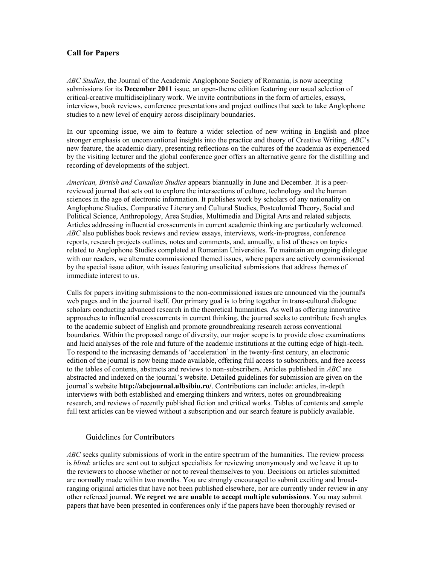## **Call for Papers**

*ABC Studies*, the Journal of the Academic Anglophone Society of Romania, is now accepting submissions for its **December 2011** issue, an open-theme edition featuring our usual selection of critical-creative multidisciplinary work. We invite contributions in the form of articles, essays, interviews, book reviews, conference presentations and project outlines that seek to take Anglophone studies to a new level of enquiry across disciplinary boundaries.

In our upcoming issue, we aim to feature a wider selection of new writing in English and place stronger emphasis on unconventional insights into the practice and theory of Creative Writing. *ABC*'s new feature, the academic diary, presenting reflections on the cultures of the academia as experienced by the visiting lecturer and the global conference goer offers an alternative genre for the distilling and recording of developments of the subject.

*American, British and Canadian Studies* appears biannually in June and December. It is a peerreviewed journal that sets out to explore the intersections of culture, technology and the human sciences in the age of electronic information. It publishes work by scholars of any nationality on Anglophone Studies, Comparative Literary and Cultural Studies, Postcolonial Theory, Social and Political Science, Anthropology, Area Studies, Multimedia and Digital Arts and related subjects. Articles addressing influential crosscurrents in current academic thinking are particularly welcomed. *ABC* also publishes book reviews and review essays, interviews, work-in-progress, conference reports, research projects outlines, notes and comments, and, annually, a list of theses on topics related to Anglophone Studies completed at Romanian Universities. To maintain an ongoing dialogue with our readers, we alternate commissioned themed issues, where papers are actively commissioned by the special issue editor, with issues featuring unsolicited submissions that address themes of immediate interest to us.

Calls for papers inviting submissions to the non-commissioned issues are announced via the journal's web pages and in the journal itself. Our primary goal is to bring together in trans-cultural dialogue scholars conducting advanced research in the theoretical humanities. As well as offering innovative approaches to influential crosscurrents in current thinking, the journal seeks to contribute fresh angles to the academic subject of English and promote groundbreaking research across conventional boundaries. Within the proposed range of diversity, our major scope is to provide close examinations and lucid analyses of the role and future of the academic institutions at the cutting edge of high-tech. To respond to the increasing demands of 'acceleration' in the twenty-first century, an electronic edition of the journal is now being made available, offering full access to subscribers, and free access to the tables of contents, abstracts and reviews to non-subscribers. Articles published in *ABC* are abstracted and indexed on the journal's website. Detailed guidelines for submission are given on the journal's website **http://abcjournal.ulbsibiu.ro/**. Contributions can include: articles, in-depth interviews with both established and emerging thinkers and writers, notes on groundbreaking research, and reviews of recently published fiction and critical works. Tables of contents and sample full text articles can be viewed without a subscription and our search feature is publicly available.

## Guidelines for Contributors

*ABC* seeks quality submissions of work in the entire spectrum of the humanities. The review process is *blind*: articles are sent out to subject specialists for reviewing anonymously and we leave it up to the reviewers to choose whether or not to reveal themselves to you. Decisions on articles submitted are normally made within two months. You are strongly encouraged to submit exciting and broadranging original articles that have not been published elsewhere, nor are currently under review in any other refereed journal. **We regret we are unable to accept multiple submissions**. You may submit papers that have been presented in conferences only if the papers have been thoroughly revised or